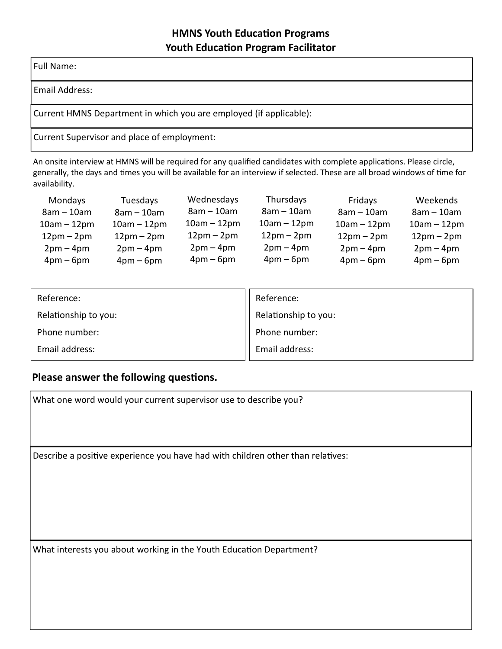## **HMNS Youth Education Programs Youth Education Program Facilitator**

Full Name:

Email Address:

Current HMNS Department in which you are employed (if applicable):

Current Supervisor and place of employment:

An onsite interview at HMNS will be required for any qualified candidates with complete applications. Please circle, generally, the days and times you will be available for an interview if selected. These are all broad windows of time for availability.

| Mondays       | Tuesdays      | Wednesdays    | Thursdays     | Fridays       | Weekends      |
|---------------|---------------|---------------|---------------|---------------|---------------|
| $8am - 10am$  | $8am - 10am$  | $8am - 10am$  | $8am - 10am$  | $8am - 10am$  | $8am - 10am$  |
| $10am - 12pm$ | $10am - 12pm$ | $10am - 12pm$ | $10am - 12pm$ | $10am - 12pm$ | $10am - 12pm$ |
| $12pm-2pm$    | $12pm-2pm$    | $12pm-2pm$    | $12pm-2pm$    | $12pm-2pm$    | $12pm-2pm$    |
| $2pm-4pm$     | $2pm-4pm$     | $2pm-4pm$     | $2pm-4pm$     | $2pm-4pm$     | $2pm-4pm$     |
| $4pm-6pm$     | $4pm-6pm$     | $4pm-6pm$     | $4pm-6pm$     | $4pm-6pm$     | $4pm-6pm$     |

| Reference:           | Reference:           |
|----------------------|----------------------|
| Relationship to you: | Relationship to you: |
| Phone number:        | Phone number:        |
| Email address:       | Email address:       |

## **Please answer the following questions.**

Describe a positive experience you have had with children other than relatives: What interests you about working in the Youth Education Department? What one word would your current supervisor use to describe you?